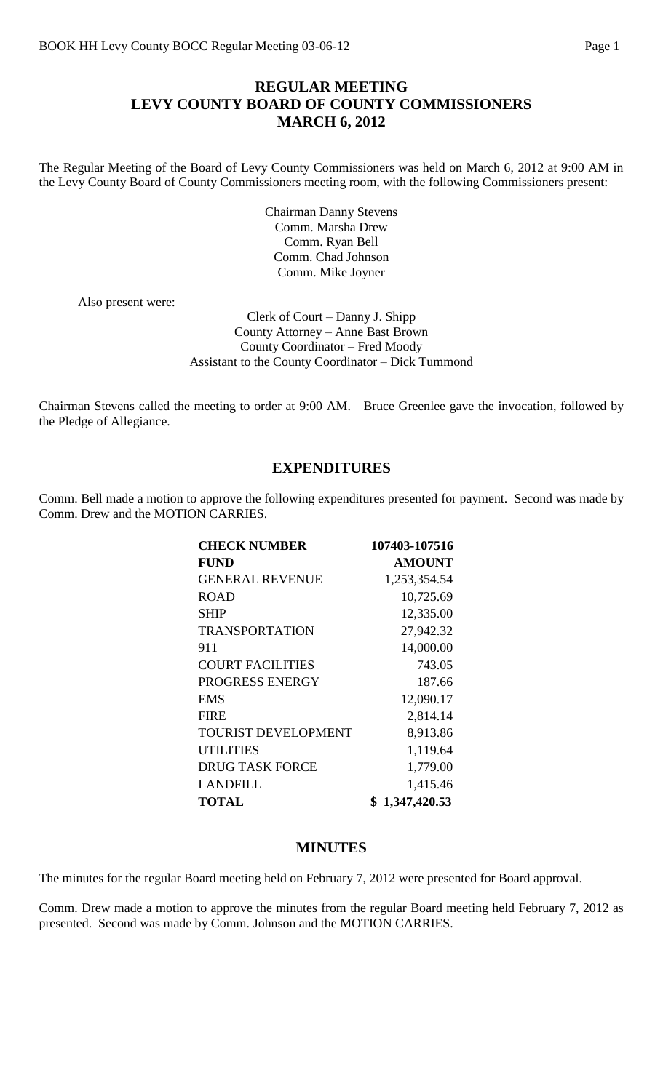#### **REGULAR MEETING LEVY COUNTY BOARD OF COUNTY COMMISSIONERS MARCH 6, 2012**

The Regular Meeting of the Board of Levy County Commissioners was held on March 6, 2012 at 9:00 AM in the Levy County Board of County Commissioners meeting room, with the following Commissioners present:

> Chairman Danny Stevens Comm. Marsha Drew Comm. Ryan Bell Comm. Chad Johnson Comm. Mike Joyner

Also present were:

Clerk of Court – Danny J. Shipp County Attorney – Anne Bast Brown County Coordinator – Fred Moody Assistant to the County Coordinator – Dick Tummond

Chairman Stevens called the meeting to order at 9:00 AM. Bruce Greenlee gave the invocation, followed by the Pledge of Allegiance.

#### **EXPENDITURES**

Comm. Bell made a motion to approve the following expenditures presented for payment. Second was made by Comm. Drew and the MOTION CARRIES.

| <b>CHECK NUMBER</b>        | 107403-107516 |
|----------------------------|---------------|
| <b>FUND</b>                | <b>AMOUNT</b> |
| <b>GENERAL REVENUE</b>     | 1,253,354.54  |
| <b>ROAD</b>                | 10,725.69     |
| <b>SHIP</b>                | 12,335.00     |
| <b>TRANSPORTATION</b>      | 27,942.32     |
| 911                        | 14,000.00     |
| <b>COURT FACILITIES</b>    | 743.05        |
| PROGRESS ENERGY            | 187.66        |
| <b>EMS</b>                 | 12,090.17     |
| <b>FIRE</b>                | 2,814.14      |
| <b>TOURIST DEVELOPMENT</b> | 8,913.86      |
| <b>UTILITIES</b>           | 1,119.64      |
| <b>DRUG TASK FORCE</b>     | 1,779.00      |
| <b>LANDFILL</b>            | 1,415.46      |
| <b>TOTAL</b>               | 1,347,420.53  |

#### **MINUTES**

The minutes for the regular Board meeting held on February 7, 2012 were presented for Board approval.

Comm. Drew made a motion to approve the minutes from the regular Board meeting held February 7, 2012 as presented. Second was made by Comm. Johnson and the MOTION CARRIES.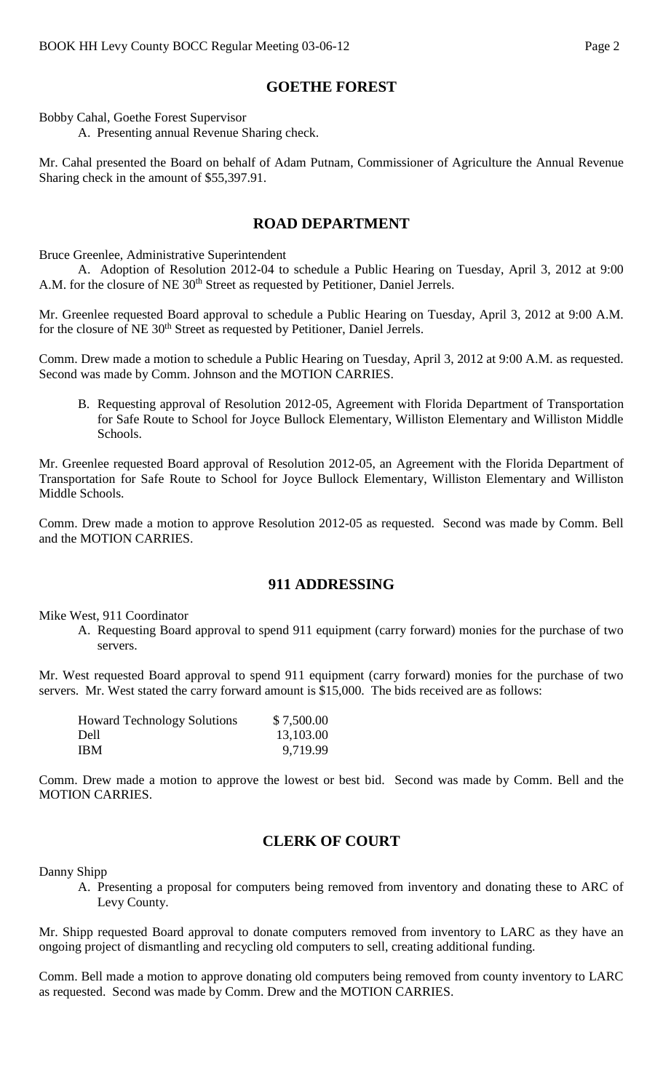#### **GOETHE FOREST**

Bobby Cahal, Goethe Forest Supervisor

A. Presenting annual Revenue Sharing check.

Mr. Cahal presented the Board on behalf of Adam Putnam, Commissioner of Agriculture the Annual Revenue Sharing check in the amount of \$55,397.91.

#### **ROAD DEPARTMENT**

Bruce Greenlee, Administrative Superintendent

A. Adoption of Resolution 2012-04 to schedule a Public Hearing on Tuesday, April 3, 2012 at 9:00 A.M. for the closure of NE 30<sup>th</sup> Street as requested by Petitioner, Daniel Jerrels.

Mr. Greenlee requested Board approval to schedule a Public Hearing on Tuesday, April 3, 2012 at 9:00 A.M. for the closure of NE 30<sup>th</sup> Street as requested by Petitioner, Daniel Jerrels.

Comm. Drew made a motion to schedule a Public Hearing on Tuesday, April 3, 2012 at 9:00 A.M. as requested. Second was made by Comm. Johnson and the MOTION CARRIES.

B. Requesting approval of Resolution 2012-05, Agreement with Florida Department of Transportation for Safe Route to School for Joyce Bullock Elementary, Williston Elementary and Williston Middle Schools.

Mr. Greenlee requested Board approval of Resolution 2012-05, an Agreement with the Florida Department of Transportation for Safe Route to School for Joyce Bullock Elementary, Williston Elementary and Williston Middle Schools.

Comm. Drew made a motion to approve Resolution 2012-05 as requested. Second was made by Comm. Bell and the MOTION CARRIES.

# **911 ADDRESSING**

Mike West, 911 Coordinator

A. Requesting Board approval to spend 911 equipment (carry forward) monies for the purchase of two servers.

Mr. West requested Board approval to spend 911 equipment (carry forward) monies for the purchase of two servers. Mr. West stated the carry forward amount is \$15,000. The bids received are as follows:

| <b>Howard Technology Solutions</b> | \$7,500.00 |
|------------------------------------|------------|
| Dell                               | 13,103.00  |
| IBM                                | 9,719.99   |

Comm. Drew made a motion to approve the lowest or best bid. Second was made by Comm. Bell and the MOTION CARRIES.

# **CLERK OF COURT**

Danny Shipp

A. Presenting a proposal for computers being removed from inventory and donating these to ARC of Levy County.

Mr. Shipp requested Board approval to donate computers removed from inventory to LARC as they have an ongoing project of dismantling and recycling old computers to sell, creating additional funding.

Comm. Bell made a motion to approve donating old computers being removed from county inventory to LARC as requested. Second was made by Comm. Drew and the MOTION CARRIES.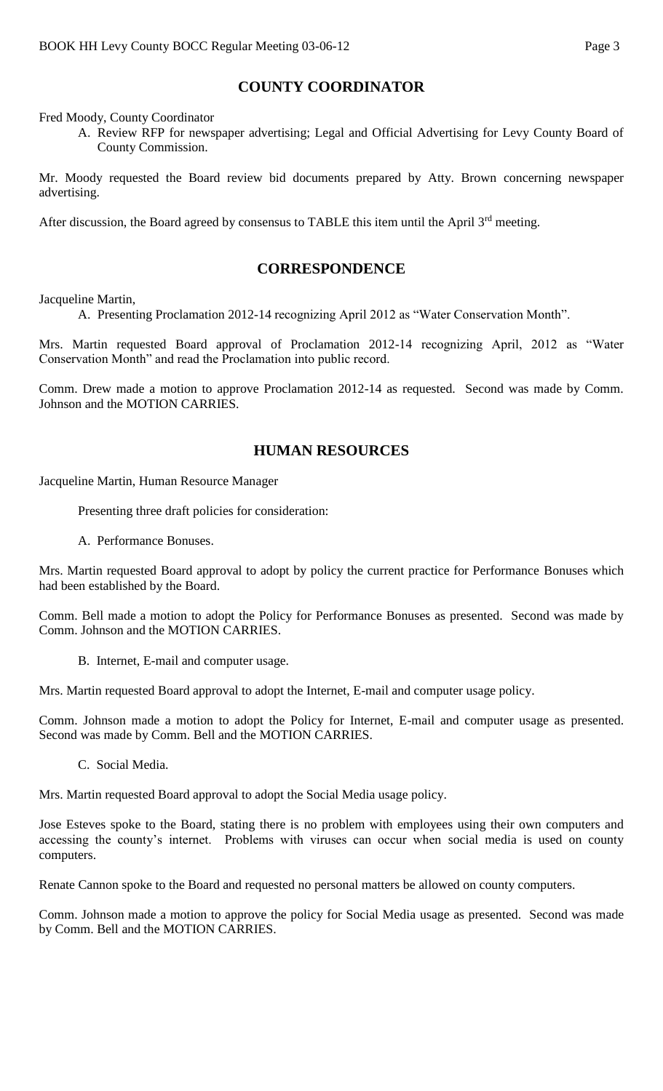# **COUNTY COORDINATOR**

Fred Moody, County Coordinator

A. Review RFP for newspaper advertising; Legal and Official Advertising for Levy County Board of County Commission.

Mr. Moody requested the Board review bid documents prepared by Atty. Brown concerning newspaper advertising.

After discussion, the Board agreed by consensus to TABLE this item until the April 3<sup>rd</sup> meeting.

#### **CORRESPONDENCE**

Jacqueline Martin,

A. Presenting Proclamation 2012-14 recognizing April 2012 as "Water Conservation Month".

Mrs. Martin requested Board approval of Proclamation 2012-14 recognizing April, 2012 as "Water Conservation Month" and read the Proclamation into public record.

Comm. Drew made a motion to approve Proclamation 2012-14 as requested. Second was made by Comm. Johnson and the MOTION CARRIES.

# **HUMAN RESOURCES**

Jacqueline Martin, Human Resource Manager

Presenting three draft policies for consideration:

A. Performance Bonuses.

Mrs. Martin requested Board approval to adopt by policy the current practice for Performance Bonuses which had been established by the Board.

Comm. Bell made a motion to adopt the Policy for Performance Bonuses as presented. Second was made by Comm. Johnson and the MOTION CARRIES.

B. Internet, E-mail and computer usage.

Mrs. Martin requested Board approval to adopt the Internet, E-mail and computer usage policy.

Comm. Johnson made a motion to adopt the Policy for Internet, E-mail and computer usage as presented. Second was made by Comm. Bell and the MOTION CARRIES.

C. Social Media.

Mrs. Martin requested Board approval to adopt the Social Media usage policy.

Jose Esteves spoke to the Board, stating there is no problem with employees using their own computers and accessing the county's internet. Problems with viruses can occur when social media is used on county computers.

Renate Cannon spoke to the Board and requested no personal matters be allowed on county computers.

Comm. Johnson made a motion to approve the policy for Social Media usage as presented. Second was made by Comm. Bell and the MOTION CARRIES.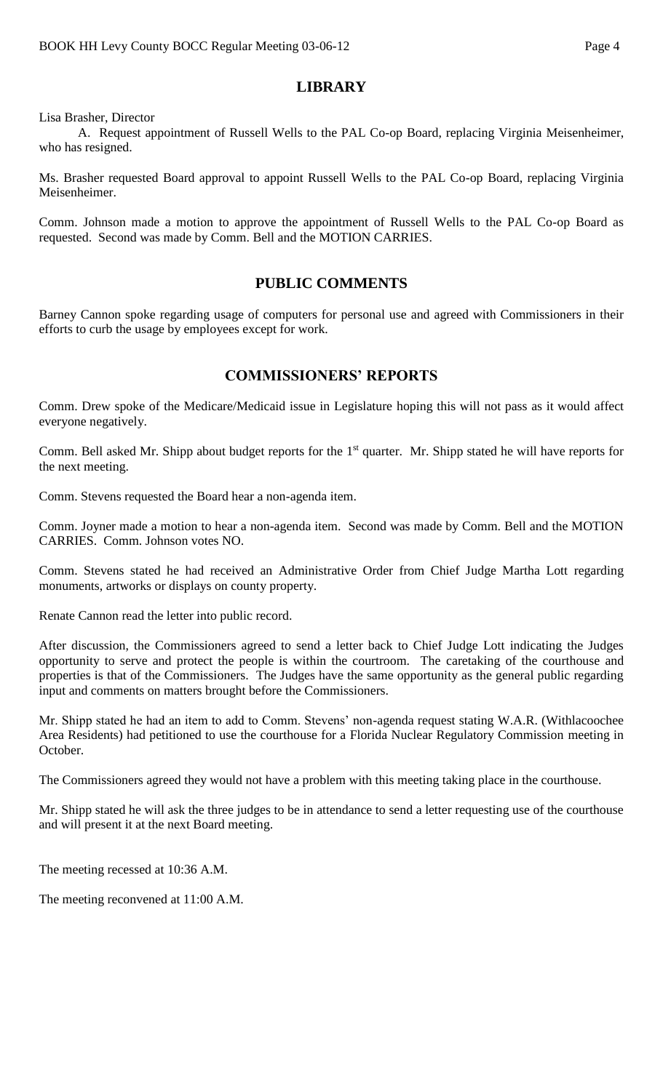#### **LIBRARY**

Lisa Brasher, Director

A. Request appointment of Russell Wells to the PAL Co-op Board, replacing Virginia Meisenheimer, who has resigned.

Ms. Brasher requested Board approval to appoint Russell Wells to the PAL Co-op Board, replacing Virginia Meisenheimer.

Comm. Johnson made a motion to approve the appointment of Russell Wells to the PAL Co-op Board as requested. Second was made by Comm. Bell and the MOTION CARRIES.

#### **PUBLIC COMMENTS**

Barney Cannon spoke regarding usage of computers for personal use and agreed with Commissioners in their efforts to curb the usage by employees except for work.

#### **COMMISSIONERS' REPORTS**

Comm. Drew spoke of the Medicare/Medicaid issue in Legislature hoping this will not pass as it would affect everyone negatively.

Comm. Bell asked Mr. Shipp about budget reports for the 1<sup>st</sup> quarter. Mr. Shipp stated he will have reports for the next meeting.

Comm. Stevens requested the Board hear a non-agenda item.

Comm. Joyner made a motion to hear a non-agenda item. Second was made by Comm. Bell and the MOTION CARRIES. Comm. Johnson votes NO.

Comm. Stevens stated he had received an Administrative Order from Chief Judge Martha Lott regarding monuments, artworks or displays on county property.

Renate Cannon read the letter into public record.

After discussion, the Commissioners agreed to send a letter back to Chief Judge Lott indicating the Judges opportunity to serve and protect the people is within the courtroom. The caretaking of the courthouse and properties is that of the Commissioners. The Judges have the same opportunity as the general public regarding input and comments on matters brought before the Commissioners.

Mr. Shipp stated he had an item to add to Comm. Stevens' non-agenda request stating W.A.R. (Withlacoochee Area Residents) had petitioned to use the courthouse for a Florida Nuclear Regulatory Commission meeting in October.

The Commissioners agreed they would not have a problem with this meeting taking place in the courthouse.

Mr. Shipp stated he will ask the three judges to be in attendance to send a letter requesting use of the courthouse and will present it at the next Board meeting.

The meeting recessed at 10:36 A.M.

The meeting reconvened at 11:00 A.M.